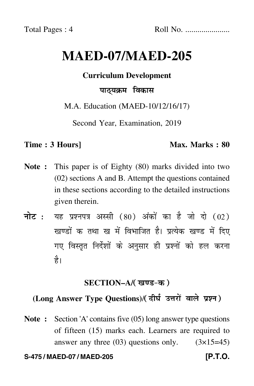# **MAED-07/MAED-205**

# **Curriculum Development**

# पाठ्यक्रम विकास

M.A. Education (MAED-10/12/16/17)

Second Year, Examination, 2019

### **Time : 3 Hours]** Max. Marks : 80

- **Note :** This paper is of Eighty (80) marks divided into two (02) sections A and B. Attempt the questions contained in these sections according to the detailed instructions given therein.
- नोट : यह प्रश्नपत्र अस्सी (80) अंकों का है जो दो (02) खण्डों क तथा ख में विभाजित है। प्रत्येक खण्ड में दिए गए विस्तृत निर्देशों के अनुसार ही प्रश्नों को हल करन<mark>ा</mark> है।

# <u>SECTION–A</u>/( खण्ड-क )

# (Long Answer Type Questions)/( दीर्घ उत्तरों वाले प्रश्न )

**Note :** Section 'A' contains five (05) long answer type questions of fifteen (15) marks each. Learners are required to answer any three  $(03)$  questions only.  $(3\times15=45)$ 

#### **S-475 / MAED-07 / MAED-205 [P.T.O.**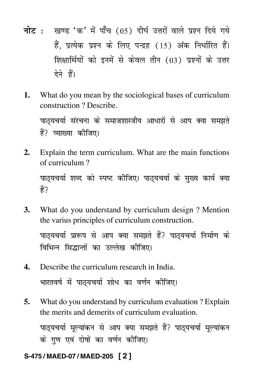- <mark>नोट</mark> : खण्ड 'क' में पाँच (05) दीर्घ उत्तरों वाले प्रश्न दिये गये हैं, प्रत्येक प्रश्न के लिए पन्द्रह (15) अंक निर्धारित हैं। शिक्षार्थियों को इनमें से केवल तीन (03) प्रश्नों के उत्तर देने हैं।
- **1.** What do you mean by the sociological bases of curriculum construction ? Describe.

पाठ्यचर्या संरचना के समाजशास्त्रीय आधारों से आप क्या समझते -हैं? व्याख्या कीजिए।

**2.** Explain the term curriculum. What are the main functions of curriculum ?

पाठ्यचर्या शब्द को स्पष्ट कीजिए। पाठ्यचर्या के मुख्य कार्य क्या हैं ?

**3.** What do you understand by curriculum design ? Mention the varius principles of curriculum construction.

पाठ्यचर्या प्रारूप से आप क्या समझते हैं? पाठ्यचर्या निर्माण के विभिन्न सिद्धान्तों का उल्लेख कीजिए।

- **4.** Describe the curriculum research in India. भारतवर्ष में पाठ्यचर्या शोध का वर्णन कीजिए। - $\big)$
- **5.** What do you understand by curriculum evaluation ? Explain the merits and demerits of curriculum evaluation.

पाठ्यचर्या मूल्यांकन से आप क्या समझते हैं? पाठ्यचर्या मूल्यांकन ֪ׅ֪֪֦֖֡֬֝֬֝֬֝֬֝֬֝֬֝֬֝֬֝֬֝֬֝֬֝֬֝֬֝֬֝֬֝֬֝ .<br>. के गुण एवं दोषों का वर्णन कीजिए। - $\ddot{\phantom{a}}$ 

# **S-475 / MAED-07 / MAED-205 [ 2 ]**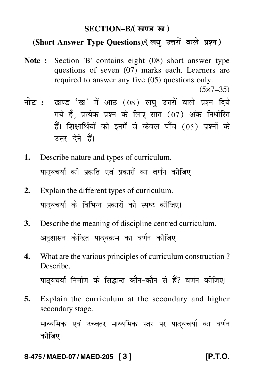# SECTION–B/( खण्ड-ख )

# (Short Answer Type Questions)/(लघु उत्तरों वाले प्रश्न)

- **Note :** Section 'B' contains eight (08) short answer type questions of seven (07) marks each. Learners are required to answer any five (05) questions only.  $(5 \times 7 = 35)$
- <mark>नोट</mark> : खण्ड 'ख' में आठ (08) लघु उत्तरों वाले प्रश्न दिये गये हैं, प्रत्येक प्रश्न के लिए सात (07) अंक निर्धारित हैं। शिक्षार्थियों को इनमें से केवल पाँच (05) प्रश्नों के उत्तर देने हैं।
- **1.** Describe nature and types of curriculum. पाठ्यचर्या की प्रकृति एवं प्रकारों का वर्णन कीजिए।  $\ddot{\phantom{a}}$
- **2.** Explain the different types of curriculum. पाठ्यचर्या के विभिन्न प्रकारों को स्पष्ट कीजिए। ֖֖֦ׅׅ֪ׅ֪ׅ֚֚֡֞֝֬֝֬֝֬֝֝֬֝֬֝֬֝֬֝֬֝֬֝֬֝**֟**
- **3.** Describe the meaning of discipline centred curriculum. अनुशासन केन्द्रित पाठ्यक्रम का वर्णन कीजिए। -
- **4.** What are the various principles of curriculum construction ? Describe. पाठ्यचर्या निर्माण के सिद्धान्त कौन–कौन से हैं? वर्णन कीजिए।
- **5.** Explain the curriculum at the secondary and higher secondary stage.

माध्यमिक एवं उच्चतर माध्यमिक स्तर पर पाठ्यचर्या का वर्णन कोजिए।

### **S-475 / MAED-07 / MAED-205 [ 3 ] [P.T.O.**